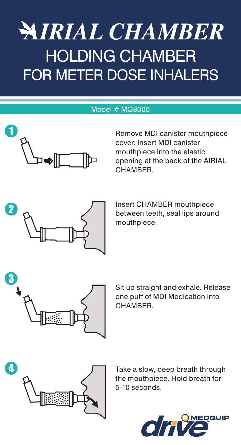## **NIRIAL CHAMBER** HOLDING CHAMBER FOR METER DOSE INHALERS

#### Model # MQ8000



Remove MDI canister mouthpiece cover. Insert MDI canister mouthpiece into the elastic opening at the back of the AIRIAL **CHAMBER** 



Insert CHAMBER mouthpiece between teeth, seal lips around mouthpiece.



Sit up straight and exhale. Release one puff of MDI Medication into CHAMBER.



Take a slow, deep breath through the mouthpiece. Hold breath for 5-10 seconds.

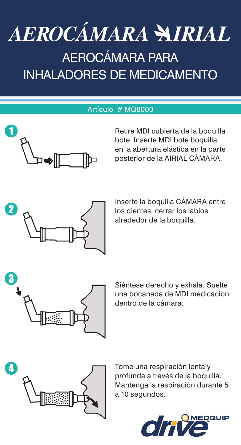# AEROCÁMARA NIRIAL

### Aerocámara para Inhaladores de Medicamento

#### Artículo # MQ8000



Retire MDI cubierta de la boquilla bote. Inserte MDI bote boquilla en la abertura elástica en la parte posterior de la AIRIAL CÁMARA.



Inserte la boquilla CÁMARA entre los dientes, cerrar los labios alrededor de la boquilla.



Siéntese derecho y exhala. Suelte una bocanada de MDI medicación dentro de la cámara.

![](_page_1_Picture_9.jpeg)

Tome una respiración lenta y profunda a través de la boquilla. Mantenga la respiración durante 5 a 10 segundos.

![](_page_1_Picture_11.jpeg)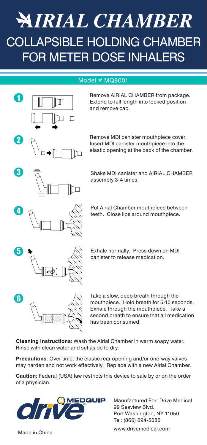### **NIRIAL CHAMBER** COLLAPSIBLE HOLDING CHAMBER FOR METER DOSE INHALERS

#### Model # MQ8001

![](_page_2_Figure_2.jpeg)

**Cleaning Instructions**: Wash the Airial Chamber in warm soapy water. Rinse with clean water and set aside to dry.

**Precautions**: Over time, the elastic rear opening and/or one-way valves may harden and not work effectively. Replace with a new Airial Chamber.

**Caution**: Federal (USA) law restricts this device to sale by or on the order of a physician.

![](_page_2_Picture_6.jpeg)

Manufactured For: Drive Medical 99 Seaview Blvd. Port Washington, NY 11050 Tel: (866) 694-5085

www.drivemedical.com Made in China